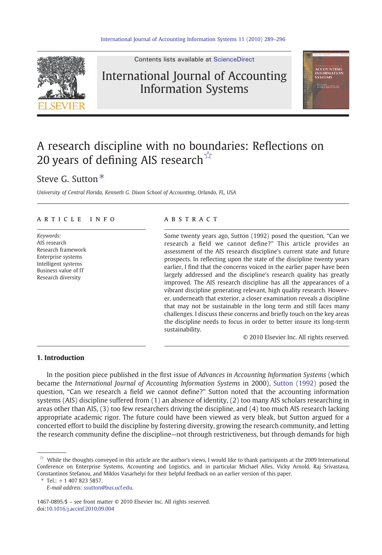

Contents lists available at [ScienceDirect](http://www.sciencedirect.com/science/journal/14670895)

## International Journal of Accounting Information Systems



## A research discipline with no boundaries: Reflections on 20 years of defining AIS research $\overrightarrow{x}$

## Steve G. Sutton  $*$

University of Central Florida, Kenneth G. Dixon School of Accounting, Orlando, FL, USA

### article info abstract

Keywords: AIS research Research framework Enterprise systems Intelligent systems Business value of IT Research diversity

Some twenty years ago, Sutton (1992) posed the question, "Can we research a field we cannot define?" This article provides an assessment of the AIS research discipline's current state and future prospects. In reflecting upon the state of the discipline twenty years earlier, I find that the concerns voiced in the earlier paper have been largely addressed and the discipline's research quality has greatly improved. The AIS research discipline has all the appearances of a vibrant discipline generating relevant, high quality research. However, underneath that exterior, a closer examination reveals a discipline that may not be sustainable in the long term and still faces many challenges. I discuss these concerns and briefly touch on the key areas the discipline needs to focus in order to better insure its long-term sustainability.

© 2010 Elsevier Inc. All rights reserved.

### 1. Introduction

In the position piece published in the first issue of Advances in Accounting Information Systems (which became the International Journal of Accounting Information Systems in 2000), [Sutton \(1992\)](#page--1-0) posed the question, "Can we research a field we cannot define?" Sutton noted that the accounting information systems (AIS) discipline suffered from (1) an absence of identity, (2) too many AIS scholars researching in areas other than AIS, (3) too few researchers driving the discipline, and (4) too much AIS research lacking appropriate academic rigor. The future could have been viewed as very bleak, but Sutton argued for a concerted effort to build the discipline by fostering diversity, growing the research community, and letting the research community define the discipline—not through restrictiveness, but through demands for high

 $*$  Tel.:  $+1$  407 823 5857.

1467-0895/\$ – see front matter © 2010 Elsevier Inc. All rights reserved. doi:[10.1016/j.accinf.2010.09.004](http://dx.doi.org/10.1016/j.accinf.2010.09.004)

 $\overrightarrow{x}$  While the thoughts conveyed in this article are the author's views, I would like to thank participants at the 2009 International Conference on Enterprise Systems, Accounting and Logistics, and in particular Michael Alles, Vicky Arnold, Raj Srivastava, Constantinos Stefanou, and Miklos Vasarhelyi for their helpful feedback on an earlier version of this paper.

E-mail address: [ssutton@bus.ucf.edu](mailto:ssutton@bus.ucf.edu).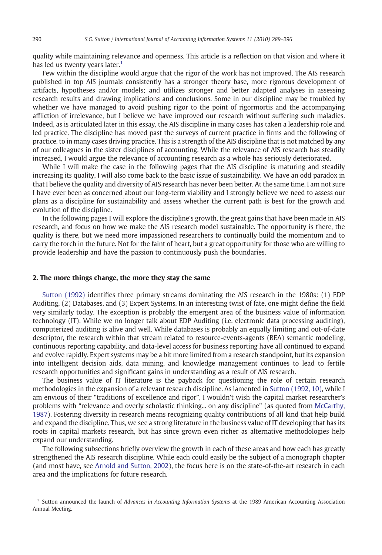quality while maintaining relevance and openness. This article is a reflection on that vision and where it has led us twenty years later.<sup>1</sup>

Few within the discipline would argue that the rigor of the work has not improved. The AIS research published in top AIS journals consistently has a stronger theory base, more rigorous development of artifacts, hypotheses and/or models; and utilizes stronger and better adapted analyses in assessing research results and drawing implications and conclusions. Some in our discipline may be troubled by whether we have managed to avoid pushing rigor to the point of rigormortis and the accompanying affliction of irrelevance, but I believe we have improved our research without suffering such maladies. Indeed, as is articulated later in this essay, the AIS discipline in many cases has taken a leadership role and led practice. The discipline has moved past the surveys of current practice in firms and the following of practice, to in many cases driving practice. This is a strength of the AIS discipline that is not matched by any of our colleagues in the sister disciplines of accounting. While the relevance of AIS research has steadily increased, I would argue the relevance of accounting research as a whole has seriously deteriorated.

While I will make the case in the following pages that the AIS discipline is maturing and steadily increasing its quality, I will also come back to the basic issue of sustainability. We have an odd paradox in that I believe the quality and diversity of AIS research has never been better. At the same time, I am not sure I have ever been as concerned about our long-term viability and I strongly believe we need to assess our plans as a discipline for sustainability and assess whether the current path is best for the growth and evolution of the discipline.

In the following pages I will explore the discipline's growth, the great gains that have been made in AIS research, and focus on how we make the AIS research model sustainable. The opportunity is there, the quality is there, but we need more impassioned researchers to continually build the momentum and to carry the torch in the future. Not for the faint of heart, but a great opportunity for those who are willing to provide leadership and have the passion to continuously push the boundaries.

### 2. The more things change, the more they stay the same

[Sutton \(1992\)](#page--1-0) identifies three primary streams dominating the AIS research in the 1980s: (1) EDP Auditing, (2) Databases, and (3) Expert Systems. In an interesting twist of fate, one might define the field very similarly today. The exception is probably the emergent area of the business value of information technology (IT). While we no longer talk about EDP Auditing (i.e. electronic data processing auditing), computerized auditing is alive and well. While databases is probably an equally limiting and out-of-date descriptor, the research within that stream related to resource-events-agents (REA) semantic modeling, continuous reporting capability, and data-level access for business reporting have all continued to expand and evolve rapidly. Expert systems may be a bit more limited from a research standpoint, but its expansion into intelligent decision aids, data mining, and knowledge management continues to lead to fertile research opportunities and significant gains in understanding as a result of AIS research.

The business value of IT literature is the payback for questioning the role of certain research methodologies in the expansion of a relevant research discipline. As lamented in [Sutton \(1992, 10\)](#page--1-0), while I am envious of their "traditions of excellence and rigor", I wouldn't wish the capital market researcher's problems with "relevance and overly scholastic thinking... on any discipline" (as quoted from [McCarthy,](#page--1-0) [1987](#page--1-0)). Fostering diversity in research means recognizing quality contributions of all kind that help build and expand the discipline. Thus, we see a strong literature in the business value of IT developing that has its roots in capital markets research, but has since grown even richer as alternative methodologies help expand our understanding.

The following subsections briefly overview the growth in each of these areas and how each has greatly strengthened the AIS research discipline. While each could easily be the subject of a monograph chapter (and most have, see [Arnold and Sutton, 2002\)](#page--1-0), the focus here is on the state-of-the-art research in each area and the implications for future research.

<sup>&</sup>lt;sup>1</sup> Sutton announced the launch of Advances in Accounting Information Systems at the 1989 American Accounting Association Annual Meeting.